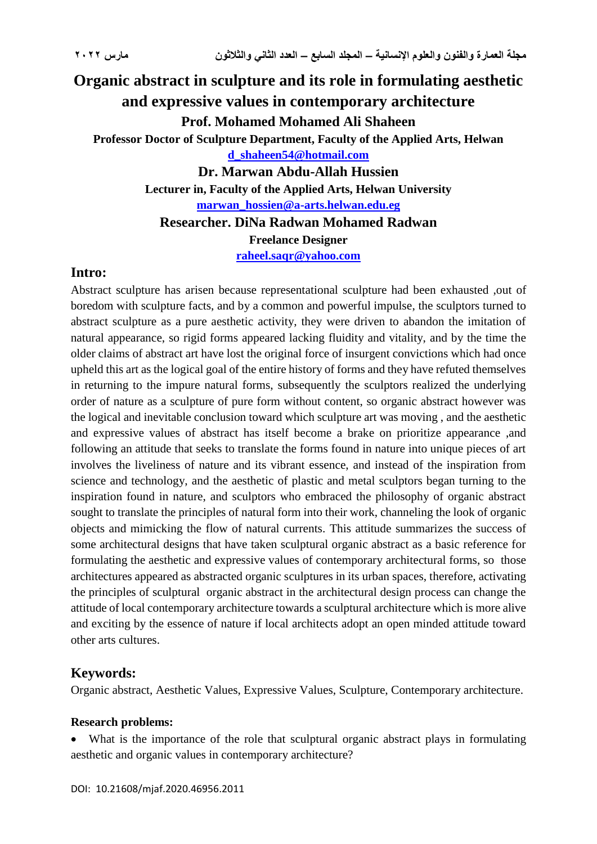# **Organic abstract in sculpture and its role in formulating aesthetic and expressive values in contemporary architecture Prof. Mohamed Mohamed Ali Shaheen Professor Doctor of Sculpture Department, Faculty of the Applied Arts, Helwan [d\\_shaheen54@hotmail.com](mailto:d_shaheen54@hotmail.com) Dr. Marwan Abdu-Allah Hussien Lecturer in, Faculty of the Applied Arts, Helwan University [marwan\\_hossien@a-arts.helwan.edu.eg](mailto:marwan_hossien@a-arts.helwan.edu.eg) Researcher. DiNa Radwan Mohamed Radwan Freelance Designer [raheel.saqr@yahoo.com](mailto:raheel.saqr@yahoo.com)**

#### **Intro:**

Abstract sculpture has arisen because representational sculpture had been exhausted ,out of boredom with sculpture facts, and by a common and powerful impulse, the sculptors turned to abstract sculpture as a pure aesthetic activity, they were driven to abandon the imitation of natural appearance, so rigid forms appeared lacking fluidity and vitality, and by the time the older claims of abstract art have lost the original force of insurgent convictions which had once upheld this art as the logical goal of the entire history of forms and they have refuted themselves in returning to the impure natural forms, subsequently the sculptors realized the underlying order of nature as a sculpture of pure form without content, so organic abstract however was the logical and inevitable conclusion toward which sculpture art was moving , and the aesthetic and expressive values of abstract has itself become a brake on prioritize appearance ,and following an attitude that seeks to translate the forms found in nature into unique pieces of art involves the liveliness of nature and its vibrant essence, and instead of the inspiration from science and technology, and the aesthetic of plastic and metal sculptors began turning to the inspiration found in nature, and sculptors who embraced the philosophy of organic abstract sought to translate the principles of natural form into their work, channeling the look of organic objects and mimicking the flow of natural currents. This attitude summarizes the success of some architectural designs that have taken sculptural organic abstract as a basic reference for formulating the aesthetic and expressive values of contemporary architectural forms, so those architectures appeared as abstracted organic sculptures in its urban spaces, therefore, activating the principles of sculptural organic abstract in the architectural design process can change the attitude of local contemporary architecture towards a sculptural architecture which is more alive and exciting by the essence of nature if local architects adopt an open minded attitude toward other arts cultures.

#### **Keywords:**

Organic abstract, Aesthetic Values, Expressive Values, Sculpture, Contemporary architecture.

#### **Research problems:**

 What is the importance of the role that sculptural organic abstract plays in formulating aesthetic and organic values in contemporary architecture?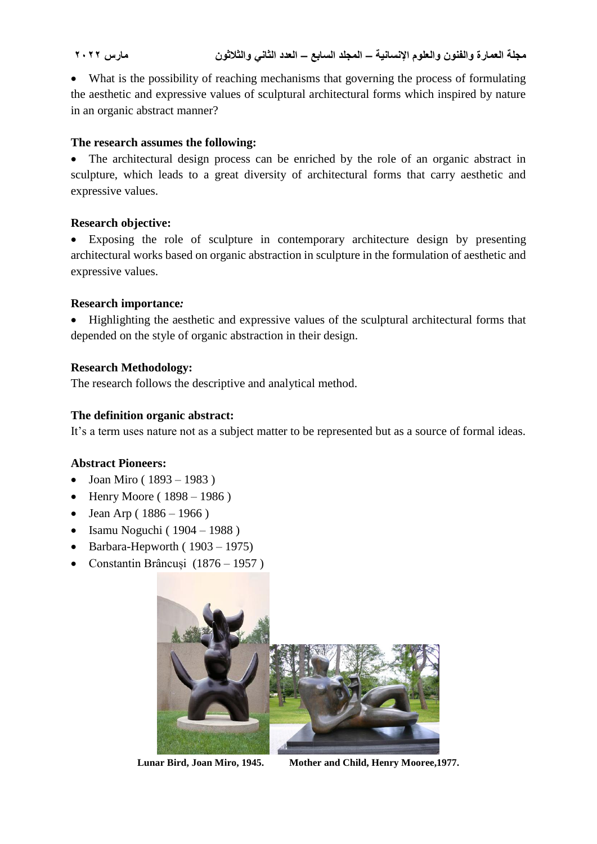What is the possibility of reaching mechanisms that governing the process of formulating the aesthetic and expressive values of sculptural architectural forms which inspired by nature in an organic abstract manner?

### **The research assumes the following:**

• The architectural design process can be enriched by the role of an organic abstract in sculpture, which leads to a great diversity of architectural forms that carry aesthetic and expressive values.

### **Research objective:**

 Exposing the role of sculpture in contemporary architecture design by presenting architectural works based on organic abstraction in sculpture in the formulation of aesthetic and expressive values.

### **Research importance***:*

• Highlighting the aesthetic and expressive values of the sculptural architectural forms that depended on the style of organic abstraction in their design.

### **Research Methodology:**

The research follows the descriptive and analytical method.

## **The definition organic abstract:**

It's a term uses nature not as a subject matter to be represented but as a source of formal ideas.

### **Abstract Pioneers:**

- Joan Miro ( $1893 1983$ )
- Henry Moore ( $1898 1986$ )
- Jean Arp ( $1886 1966$ )
- $\bullet$  Isamu Noguchi (1904 1988)
- $\bullet$  Barbara-Hepworth (1903 1975)
- Constantin Brâncuși (1876 1957 )



**Lunar Bird, Joan Miro, 1945. Mother and Child, Henry Mooree,1977.**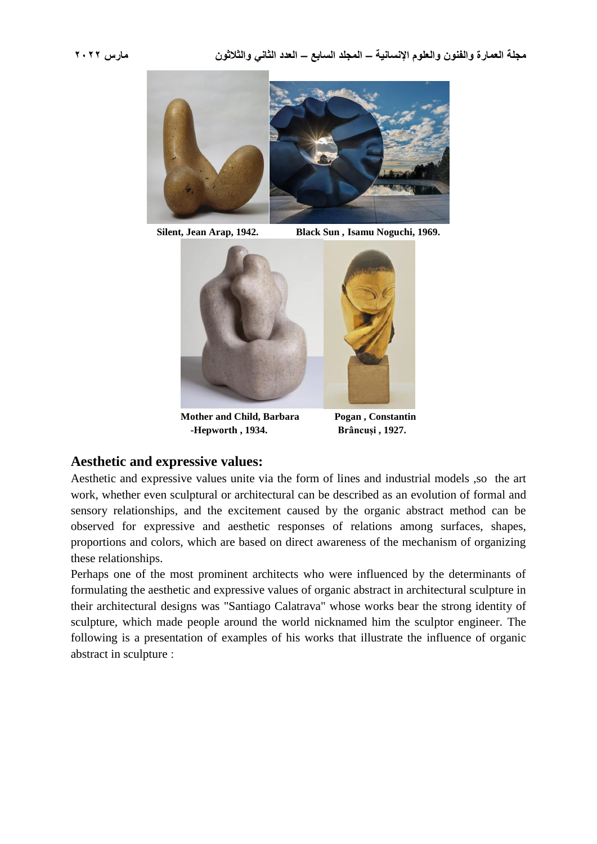

**Silent, Jean Arap, 1942. Black Sun , Isamu Noguchi, 1969.**



**Mother and Child, Barbara Pogan , Constantin -Hepworth , 1934. Brâncuși , 1927.**

#### **Aesthetic and expressive values:**

Aesthetic and expressive values unite via the form of lines and industrial models ,so the art work, whether even sculptural or architectural can be described as an evolution of formal and sensory relationships, and the excitement caused by the organic abstract method can be observed for expressive and aesthetic responses of relations among surfaces, shapes, proportions and colors, which are based on direct awareness of the mechanism of organizing these relationships.

Perhaps one of the most prominent architects who were influenced by the determinants of formulating the aesthetic and expressive values of organic abstract in architectural sculpture in their architectural designs was "Santiago Calatrava" whose works bear the strong identity of sculpture, which made people around the world nicknamed him the sculptor engineer. The following is a presentation of examples of his works that illustrate the influence of organic abstract in sculpture :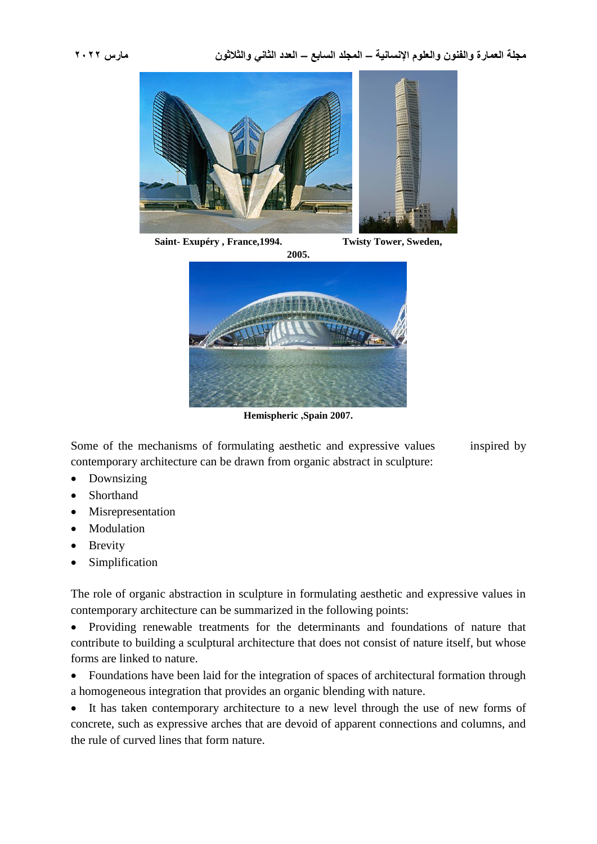

**Saint- Exupéry , France,1994. Twisty Tower, Sweden,**



**Hemispheric ,Spain 2007.**

Some of the mechanisms of formulating aesthetic and expressive values inspired by contemporary architecture can be drawn from organic abstract in sculpture:

- Downsizing
- Shorthand
- Misrepresentation
- Modulation
- Brevity
- Simplification

The role of organic abstraction in sculpture in formulating aesthetic and expressive values in contemporary architecture can be summarized in the following points:

 Providing renewable treatments for the determinants and foundations of nature that contribute to building a sculptural architecture that does not consist of nature itself, but whose forms are linked to nature.

• Foundations have been laid for the integration of spaces of architectural formation through a homogeneous integration that provides an organic blending with nature.

 It has taken contemporary architecture to a new level through the use of new forms of concrete, such as expressive arches that are devoid of apparent connections and columns, and the rule of curved lines that form nature.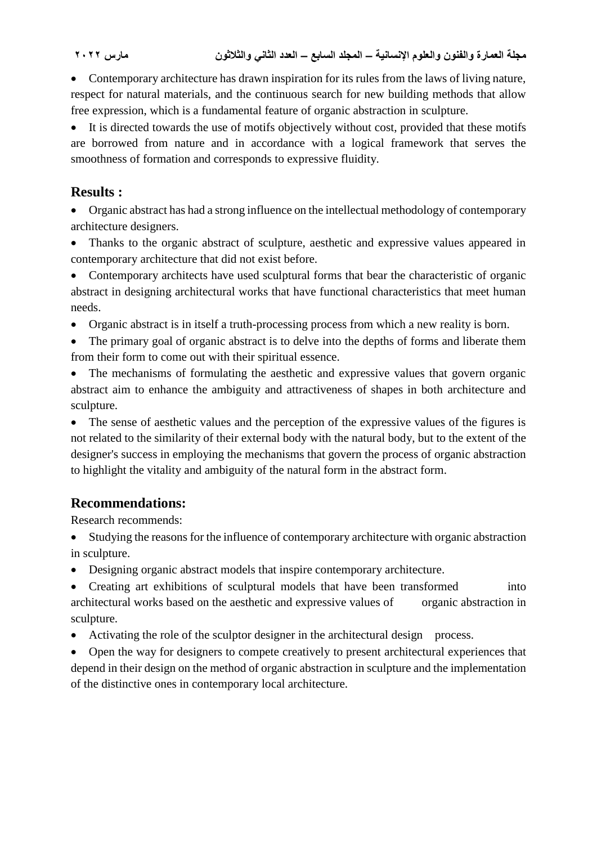Contemporary architecture has drawn inspiration for its rules from the laws of living nature, respect for natural materials, and the continuous search for new building methods that allow free expression, which is a fundamental feature of organic abstraction in sculpture.

 It is directed towards the use of motifs objectively without cost, provided that these motifs are borrowed from nature and in accordance with a logical framework that serves the smoothness of formation and corresponds to expressive fluidity.

# **Results :**

 Organic abstract has had a strong influence on the intellectual methodology of contemporary architecture designers.

 Thanks to the organic abstract of sculpture, aesthetic and expressive values appeared in contemporary architecture that did not exist before.

• Contemporary architects have used sculptural forms that bear the characteristic of organic abstract in designing architectural works that have functional characteristics that meet human needs.

Organic abstract is in itself a truth-processing process from which a new reality is born.

 The primary goal of organic abstract is to delve into the depths of forms and liberate them from their form to come out with their spiritual essence.

 The mechanisms of formulating the aesthetic and expressive values that govern organic abstract aim to enhance the ambiguity and attractiveness of shapes in both architecture and sculpture.

 The sense of aesthetic values and the perception of the expressive values of the figures is not related to the similarity of their external body with the natural body, but to the extent of the designer's success in employing the mechanisms that govern the process of organic abstraction to highlight the vitality and ambiguity of the natural form in the abstract form.

# **Recommendations:**

Research recommends:

- Studying the reasons for the influence of contemporary architecture with organic abstraction in sculpture.
- Designing organic abstract models that inspire contemporary architecture.

 Creating art exhibitions of sculptural models that have been transformed into architectural works based on the aesthetic and expressive values of organic abstraction in sculpture.

• Activating the role of the sculptor designer in the architectural design process.

 Open the way for designers to compete creatively to present architectural experiences that depend in their design on the method of organic abstraction in sculpture and the implementation of the distinctive ones in contemporary local architecture.